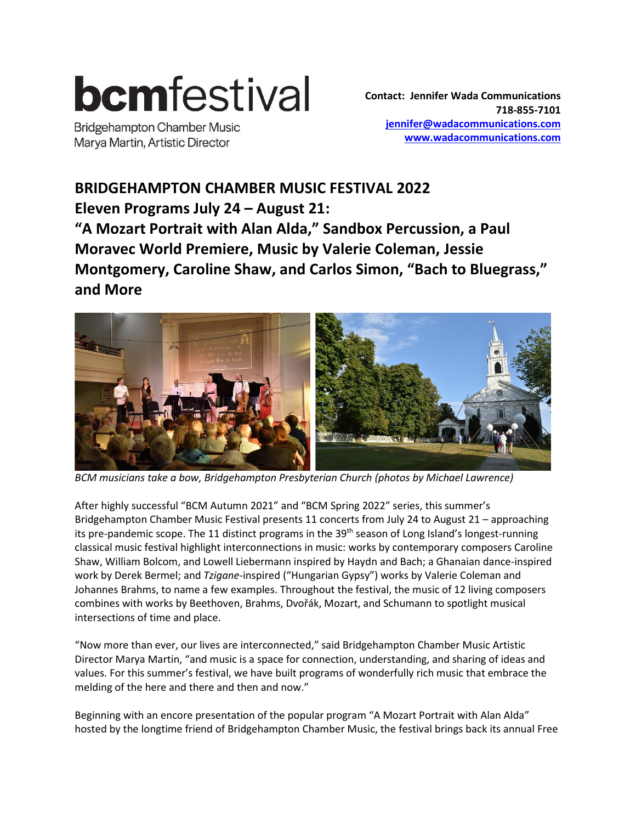# **bcmfestival**

**Bridgehampton Chamber Music** Marya Martin, Artistic Director

**Contact: Jennifer Wada Communications 718-855-7101 [jennifer@wadacommunications.com](mailto:jennifer@wadacommunications.com) [www.wadacommunications.com](http://www.wadacommunications.com/)**

## **BRIDGEHAMPTON CHAMBER MUSIC FESTIVAL 2022 Eleven Programs July 24 – August 21: "A Mozart Portrait with Alan Alda," Sandbox Percussion, a Paul Moravec World Premiere, Music by Valerie Coleman, Jessie Montgomery, Caroline Shaw, and Carlos Simon, "Bach to Bluegrass, " and More**



*BCM musicians take a bow, Bridgehampton Presbyterian Church (photos by Michael Lawrence)*

After highly successful "BCM Autumn 2021" and "BCM Spring 2022" series, this summer's Bridgehampton Chamber Music Festival presents 11 concerts from July 24 to August 21 – approaching its pre-pandemic scope. The 11 distinct programs in the 39<sup>th</sup> season of Long Island's longest-running classical music festival highlight interconnections in music: works by contemporary composers Caroline Shaw, William Bolcom, and Lowell Liebermann inspired by Haydn and Bach; a Ghanaian dance-inspired work by Derek Bermel; and *Tzigane*-inspired ("Hungarian Gypsy") works by Valerie Coleman and Johannes Brahms, to name a few examples. Throughout the festival, the music of 12 living composers combines with works by Beethoven, Brahms, Dvořák, Mozart, and Schumann to spotlight musical intersections of time and place.

"Now more than ever, our lives are interconnected," said Bridgehampton Chamber Music Artistic Director Marya Martin, "and music is a space for connection, understanding, and sharing of ideas and values. For this summer's festival, we have built programs of wonderfully rich music that embrace the melding of the here and there and then and now."

Beginning with an encore presentation of the popular program "A Mozart Portrait with Alan Alda" hosted by the longtime friend of Bridgehampton Chamber Music, the festival brings back its annual Free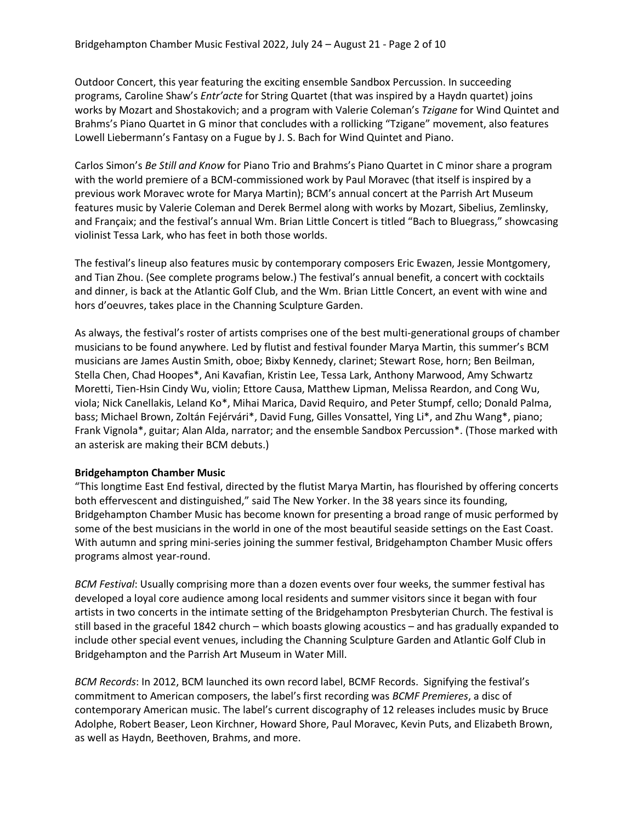Outdoor Concert, this year featuring the exciting ensemble Sandbox Percussion. In succeeding programs, Caroline Shaw's *Entr'acte* for String Quartet (that was inspired by a Haydn quartet) joins works by Mozart and Shostakovich; and a program with Valerie Coleman's *Tzigane* for Wind Quintet and Brahms's Piano Quartet in G minor that concludes with a rollicking "Tzigane" movement, also features Lowell Liebermann's Fantasy on a Fugue by J. S. Bach for Wind Quintet and Piano.

Carlos Simon's *Be Still and Know* for Piano Trio and Brahms's Piano Quartet in C minor share a program with the world premiere of a BCM-commissioned work by Paul Moravec (that itself is inspired by a previous work Moravec wrote for Marya Martin); BCM's annual concert at the Parrish Art Museum features music by Valerie Coleman and Derek Bermel along with works by Mozart, Sibelius, Zemlinsky, and Françaix; and the festival's annual Wm. Brian Little Concert is titled "Bach to Bluegrass," showcasing violinist Tessa Lark, who has feet in both those worlds.

The festival's lineup also features music by contemporary composers Eric Ewazen, Jessie Montgomery, and Tian Zhou. (See complete programs below.) The festival's annual benefit, a concert with cocktails and dinner, is back at the Atlantic Golf Club, and the Wm. Brian Little Concert, an event with wine and hors d'oeuvres, takes place in the Channing Sculpture Garden.

As always, the festival's roster of artists comprises one of the best multi-generational groups of chamber musicians to be found anywhere. Led by flutist and festival founder Marya Martin, this summer's BCM musicians are James Austin Smith, oboe; Bixby Kennedy, clarinet; Stewart Rose, horn; Ben Beilman, Stella Chen, Chad Hoopes\*, Ani Kavafian, Kristin Lee, Tessa Lark, Anthony Marwood, Amy Schwartz Moretti, Tien-Hsin Cindy Wu, violin; Ettore Causa, Matthew Lipman, Melissa Reardon, and Cong Wu, viola; Nick Canellakis, Leland Ko\*, Mihai Marica, David Requiro, and Peter Stumpf, cello; Donald Palma, bass; Michael Brown, Zoltán Fejérvári\*, David Fung, Gilles Vonsattel, Ying Li\*, and Zhu Wang\*, piano; Frank Vignola\*, guitar; Alan Alda, narrator; and the ensemble Sandbox Percussion\*. (Those marked with an asterisk are making their BCM debuts.)

#### **Bridgehampton Chamber Music**

"This longtime East End festival, directed by the flutist Marya Martin, has flourished by offering concerts both effervescent and distinguished," said The New Yorker. In the 38 years since its founding, Bridgehampton Chamber Music has become known for presenting a broad range of music performed by some of the best musicians in the world in one of the most beautiful seaside settings on the East Coast. With autumn and spring mini-series joining the summer festival, Bridgehampton Chamber Music offers programs almost year-round.

*BCM Festival*: Usually comprising more than a dozen events over four weeks, the summer festival has developed a loyal core audience among local residents and summer visitors since it began with four artists in two concerts in the intimate setting of the Bridgehampton Presbyterian Church. The festival is still based in the graceful 1842 church – which boasts glowing acoustics – and has gradually expanded to include other special event venues, including the Channing Sculpture Garden and Atlantic Golf Club in Bridgehampton and the Parrish Art Museum in Water Mill.

*BCM Records*: In 2012, BCM launched its own record label, BCMF Records. Signifying the festival's commitment to American composers, the label's first recording was *BCMF Premieres*, a disc of contemporary American music. The label's current discography of 12 releases includes music by Bruce Adolphe, Robert Beaser, Leon Kirchner, Howard Shore, Paul Moravec, Kevin Puts, and Elizabeth Brown, as well as Haydn, Beethoven, Brahms, and more.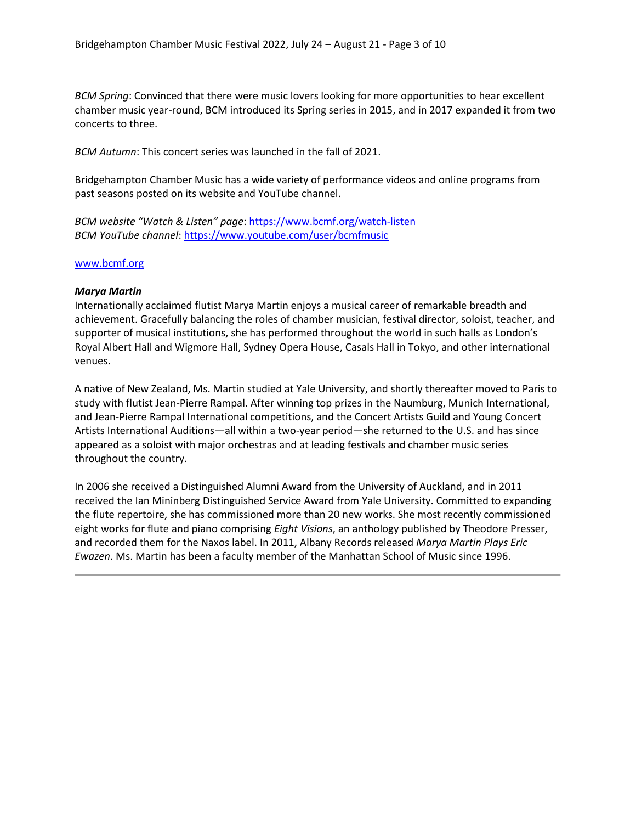*BCM Spring*: Convinced that there were music lovers looking for more opportunities to hear excellent chamber music year-round, BCM introduced its Spring series in 2015, and in 2017 expanded it from two concerts to three.

*BCM Autumn*: This concert series was launched in the fall of 2021.

Bridgehampton Chamber Music has a wide variety of performance videos and online programs from past seasons posted on its website and YouTube channel.

*BCM website "Watch & Listen" page*:<https://www.bcmf.org/watch-listen> *BCM YouTube channel*:<https://www.youtube.com/user/bcmfmusic>

#### [www.bcmf.org](http://www.bcmf.org/)

#### *Marya Martin*

Internationally acclaimed flutist Marya Martin enjoys a musical career of remarkable breadth and achievement. Gracefully balancing the roles of chamber musician, festival director, soloist, teacher, and supporter of musical institutions, she has performed throughout the world in such halls as London's Royal Albert Hall and Wigmore Hall, Sydney Opera House, Casals Hall in Tokyo, and other international venues.

A native of New Zealand, Ms. Martin studied at Yale University, and shortly thereafter moved to Paris to study with flutist Jean-Pierre Rampal. After winning top prizes in the Naumburg, Munich International, and Jean-Pierre Rampal International competitions, and the Concert Artists Guild and Young Concert Artists International Auditions—all within a two-year period—she returned to the U.S. and has since appeared as a soloist with major orchestras and at leading festivals and chamber music series throughout the country.

In 2006 she received a Distinguished Alumni Award from the University of Auckland, and in 2011 received the Ian Mininberg Distinguished Service Award from Yale University. Committed to expanding the flute repertoire, she has commissioned more than 20 new works. She most recently commissioned eight works for flute and piano comprising *Eight Visions*, an anthology published by Theodore Presser, and recorded them for the Naxos label. In 2011, Albany Records released *Marya Martin Plays Eric Ewazen*. Ms. Martin has been a faculty member of the Manhattan School of Music since 1996.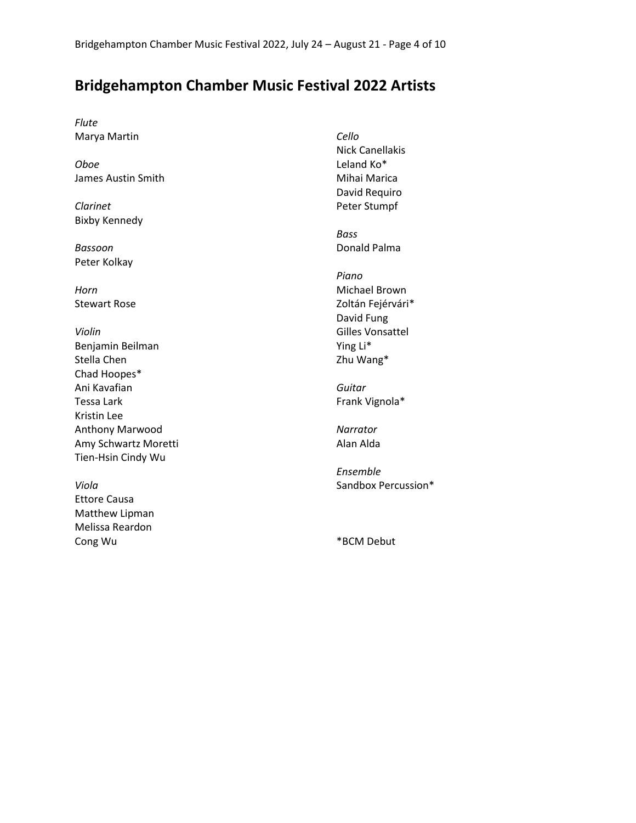## **Bridgehampton Chamber Music Festival 2022 Artists**

*Flute* Marya Martin

*Oboe* James Austin Smith

*Clarinet* Bixby Kennedy

*Bassoon* Peter Kolkay

*Horn* Stewart Rose

*Violin* Benjamin Beilman Stella Chen Chad Hoopes\* Ani Kavafian Tessa Lark Kristin Lee Anthony Marwood Amy Schwartz Moretti Tien-Hsin Cindy Wu

*Viola* Ettore Causa Matthew Lipman Melissa Reardon Cong Wu

*Cello* Nick Canellakis Leland Ko\* Mihai Marica David Requiro Peter Stumpf

*Bass* Donald Palma

*Piano* Michael Brown Zoltán Fejérvári\* David Fung Gilles Vonsattel Ying Li\* Zhu Wang\*

*Guitar* Frank Vignola\*

*Narrator* Alan Alda

*Ensemble* Sandbox Percussion\*

\*BCM Debut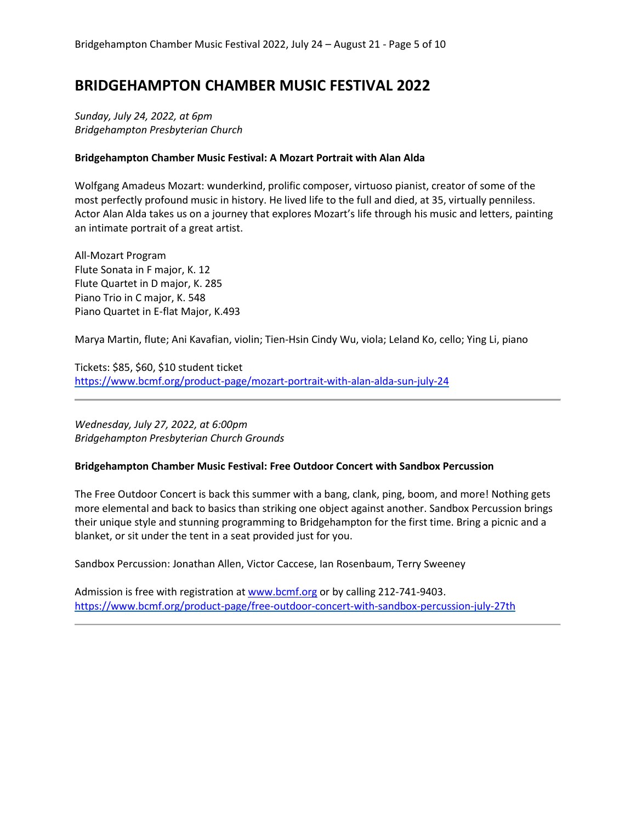### **BRIDGEHAMPTON CHAMBER MUSIC FESTIVAL 2022**

*Sunday, July 24, 2022, at 6pm Bridgehampton Presbyterian Church*

#### **Bridgehampton Chamber Music Festival: A Mozart Portrait with Alan Alda**

Wolfgang Amadeus Mozart: wunderkind, prolific composer, virtuoso pianist, creator of some of the most perfectly profound music in history. He lived life to the full and died, at 35, virtually penniless. Actor Alan Alda takes us on a journey that explores Mozart's life through his music and letters, painting an intimate portrait of a great artist.

All-Mozart Program Flute Sonata in F major, K. 12 Flute Quartet in D major, K. 285 Piano Trio in C major, K. 548 Piano Quartet in E-flat Major, K.493

Marya Martin, flute; Ani Kavafian, violin; Tien-Hsin Cindy Wu, viola; Leland Ko, cello; Ying Li, piano

Tickets: \$85, \$60, \$10 student ticket <https://www.bcmf.org/product-page/mozart-portrait-with-alan-alda-sun-july-24>

*Wednesday, July 27, 2022, at 6:00pm Bridgehampton Presbyterian Church Grounds*

#### **Bridgehampton Chamber Music Festival: Free Outdoor Concert with Sandbox Percussion**

The Free Outdoor Concert is back this summer with a bang, clank, ping, boom, and more! Nothing gets more elemental and back to basics than striking one object against another. Sandbox Percussion brings their unique style and stunning programming to Bridgehampton for the first time. Bring a picnic and a blanket, or sit under the tent in a seat provided just for you.

Sandbox Percussion: Jonathan Allen, Victor Caccese, Ian Rosenbaum, Terry Sweeney

Admission is free with registration at [www.bcmf.org](http://www.bcmf.org/) or by calling 212-741-9403. <https://www.bcmf.org/product-page/free-outdoor-concert-with-sandbox-percussion-july-27th>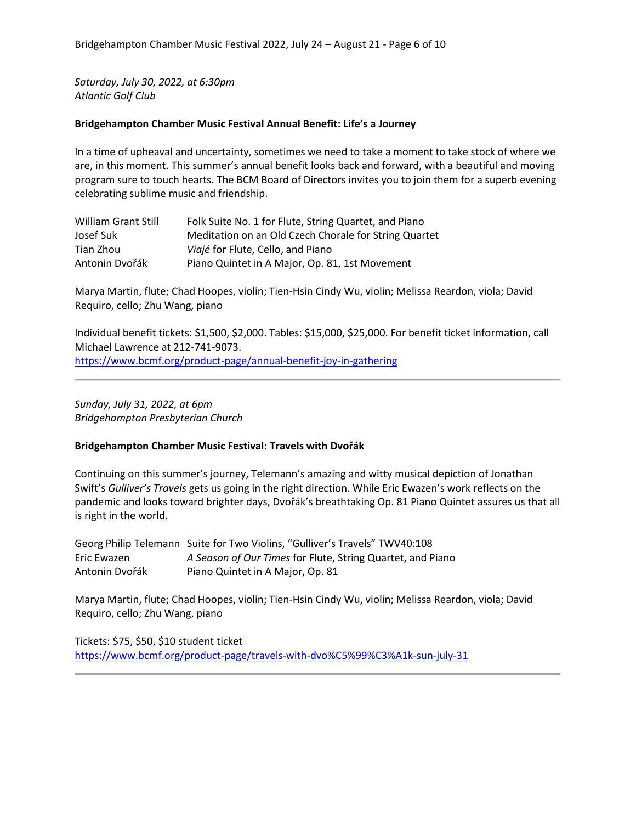*Saturday, July 30, 2022, at 6:30pm Atlantic Golf Club* 

#### **Bridgehampton Chamber Music Festival Annual Benefit: Life's a Journey**

In a time of upheaval and uncertainty, sometimes we need to take a moment to take stock of where we are, in this moment. This summer's annual benefit looks back and forward, with a beautiful and moving program sure to touch hearts. The BCM Board of Directors invites you to join them for a superb evening celebrating sublime music and friendship.

| William Grant Still | Folk Suite No. 1 for Flute, String Quartet, and Piano |
|---------------------|-------------------------------------------------------|
| Josef Suk           | Meditation on an Old Czech Chorale for String Quartet |
| Tian Zhou           | Viajé for Flute, Cello, and Piano                     |
| Antonin Dvořák      | Piano Quintet in A Major, Op. 81, 1st Movement        |

Marya Martin, flute; Chad Hoopes, violin; Tien-Hsin Cindy Wu, violin; Melissa Reardon, viola; David Requiro, cello; Zhu Wang, piano

Individual benefit tickets: \$1,500, \$2,000. Tables: \$15,000, \$25,000. For benefit ticket information, call Michael Lawrence at 212-741-9073. <https://www.bcmf.org/product-page/annual-benefit-joy-in-gathering>

*Sunday, July 31, 2022, at 6pm Bridgehampton Presbyterian Church*

#### **Bridgehampton Chamber Music Festival: Travels with Dvořák**

Continuing on this summer's journey, Telemann's amazing and witty musical depiction of Jonathan Swift's *Gulliver's Travels* gets us going in the right direction. While Eric Ewazen's work reflects on the pandemic and looks toward brighter days, Dvořák's breathtaking Op. 81 Piano Quintet assures us that all is right in the world.

|                | Georg Philip Telemann Suite for Two Violins, "Gulliver's Travels" TWV40:108 |
|----------------|-----------------------------------------------------------------------------|
| Eric Ewazen    | A Season of Our Times for Flute, String Quartet, and Piano                  |
| Antonin Dvořák | Piano Quintet in A Major, Op. 81                                            |

Marya Martin, flute; Chad Hoopes, violin; Tien-Hsin Cindy Wu, violin; Melissa Reardon, viola; David Requiro, cello; Zhu Wang, piano

Tickets: \$75, \$50, \$10 student ticket <https://www.bcmf.org/product-page/travels-with-dvo%C5%99%C3%A1k-sun-july-31>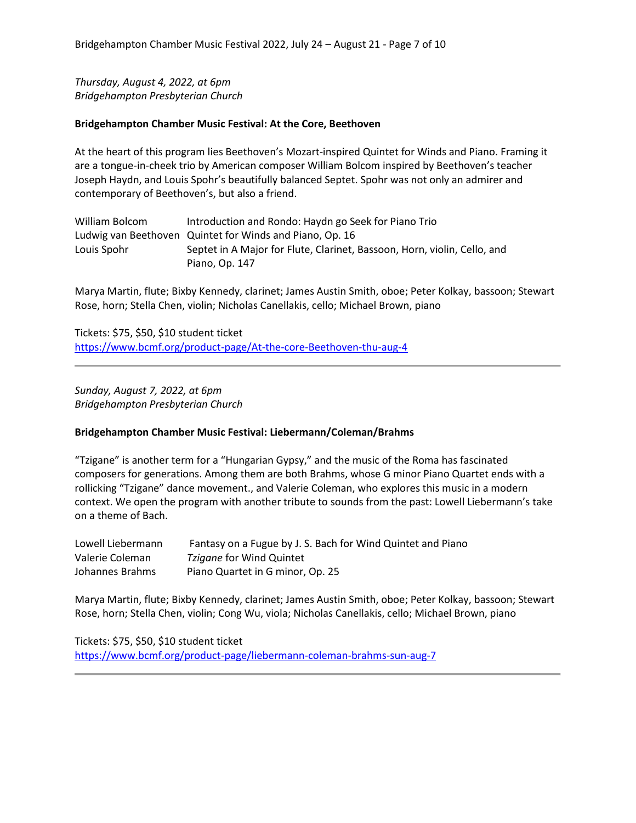*Thursday, August 4, 2022, at 6pm Bridgehampton Presbyterian Church*

#### **Bridgehampton Chamber Music Festival: At the Core, Beethoven**

At the heart of this program lies Beethoven's Mozart-inspired Quintet for Winds and Piano. Framing it are a tongue-in-cheek trio by American composer William Bolcom inspired by Beethoven's teacher Joseph Haydn, and Louis Spohr's beautifully balanced Septet. Spohr was not only an admirer and contemporary of Beethoven's, but also a friend.

| William Bolcom | Introduction and Rondo: Haydn go Seek for Piano Trio                     |
|----------------|--------------------------------------------------------------------------|
|                | Ludwig van Beethoven Quintet for Winds and Piano, Op. 16                 |
| Louis Spohr    | Septet in A Major for Flute, Clarinet, Bassoon, Horn, violin, Cello, and |
|                | Piano, Op. 147                                                           |

Marya Martin, flute; Bixby Kennedy, clarinet; James Austin Smith, oboe; Peter Kolkay, bassoon; Stewart Rose, horn; Stella Chen, violin; Nicholas Canellakis, cello; Michael Brown, piano

Tickets: \$75, \$50, \$10 student ticket <https://www.bcmf.org/product-page/At-the-core-Beethoven-thu-aug-4>

*Sunday, August 7, 2022, at 6pm Bridgehampton Presbyterian Church*

#### **Bridgehampton Chamber Music Festival: Liebermann/Coleman/Brahms**

"Tzigane" is another term for a "Hungarian Gypsy," and the music of the Roma has fascinated composers for generations. Among them are both Brahms, whose G minor Piano Quartet ends with a rollicking "Tzigane" dance movement., and Valerie Coleman, who explores this music in a modern context. We open the program with another tribute to sounds from the past: Lowell Liebermann's take on a theme of Bach.

| Lowell Liebermann | Fantasy on a Fugue by J. S. Bach for Wind Quintet and Piano |
|-------------------|-------------------------------------------------------------|
| Valerie Coleman   | Tzigane for Wind Quintet                                    |
| Johannes Brahms   | Piano Quartet in G minor, Op. 25                            |

Marya Martin, flute; Bixby Kennedy, clarinet; James Austin Smith, oboe; Peter Kolkay, bassoon; Stewart Rose, horn; Stella Chen, violin; Cong Wu, viola; Nicholas Canellakis, cello; Michael Brown, piano

Tickets: \$75, \$50, \$10 student ticket <https://www.bcmf.org/product-page/liebermann-coleman-brahms-sun-aug-7>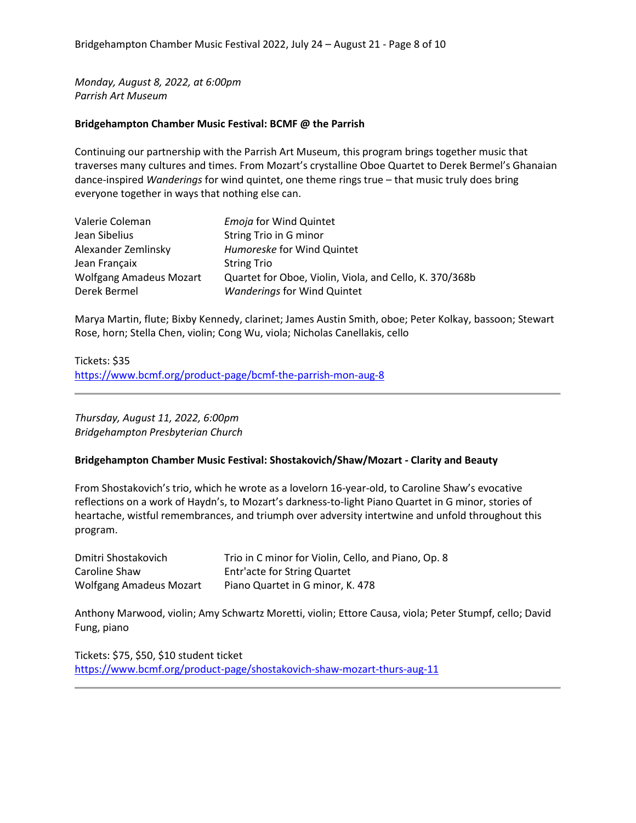*Monday, August 8, 2022, at 6:00pm Parrish Art Museum*

#### **Bridgehampton Chamber Music Festival: BCMF @ the Parrish**

Continuing our partnership with the Parrish Art Museum, this program brings together music that traverses many cultures and times. From Mozart's crystalline Oboe Quartet to Derek Bermel's Ghanaian dance-inspired *Wanderings* for wind quintet, one theme rings true – that music truly does bring everyone together in ways that nothing else can.

| Valerie Coleman                | <b>Emoja for Wind Quintet</b>                           |
|--------------------------------|---------------------------------------------------------|
| Jean Sibelius                  | String Trio in G minor                                  |
| Alexander Zemlinsky            | Humoreske for Wind Quintet                              |
| Jean Françaix                  | <b>String Trio</b>                                      |
| <b>Wolfgang Amadeus Mozart</b> | Quartet for Oboe, Violin, Viola, and Cello, K. 370/368b |
| Derek Bermel                   | <b>Wanderings for Wind Quintet</b>                      |

Marya Martin, flute; Bixby Kennedy, clarinet; James Austin Smith, oboe; Peter Kolkay, bassoon; Stewart Rose, horn; Stella Chen, violin; Cong Wu, viola; Nicholas Canellakis, cello

Tickets: \$35 <https://www.bcmf.org/product-page/bcmf-the-parrish-mon-aug-8>

*Thursday, August 11, 2022, 6:00pm Bridgehampton Presbyterian Church*

#### **Bridgehampton Chamber Music Festival: Shostakovich/Shaw/Mozart - Clarity and Beauty**

From Shostakovich's trio, which he wrote as a lovelorn 16-year-old, to Caroline Shaw's evocative reflections on a work of Haydn's, to Mozart's darkness-to-light Piano Quartet in G minor, stories of heartache, wistful remembrances, and triumph over adversity intertwine and unfold throughout this program.

| Dmitri Shostakovich            | Trio in C minor for Violin, Cello, and Piano, Op. 8 |
|--------------------------------|-----------------------------------------------------|
| Caroline Shaw                  | Entr'acte for String Quartet                        |
| <b>Wolfgang Amadeus Mozart</b> | Piano Quartet in G minor, K. 478                    |

Anthony Marwood, violin; Amy Schwartz Moretti, violin; Ettore Causa, viola; Peter Stumpf, cello; David Fung, piano

Tickets: \$75, \$50, \$10 student ticket <https://www.bcmf.org/product-page/shostakovich-shaw-mozart-thurs-aug-11>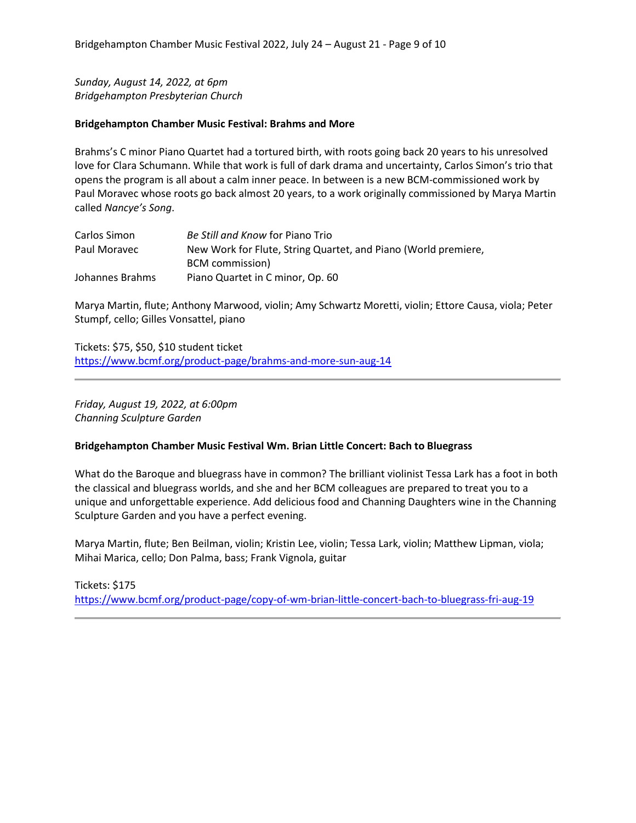*Sunday, August 14, 2022, at 6pm Bridgehampton Presbyterian Church*

#### **Bridgehampton Chamber Music Festival: Brahms and More**

Brahms's C minor Piano Quartet had a tortured birth, with roots going back 20 years to his unresolved love for Clara Schumann. While that work is full of dark drama and uncertainty, Carlos Simon's trio that opens the program is all about a calm inner peace. In between is a new BCM-commissioned work by Paul Moravec whose roots go back almost 20 years, to a work originally commissioned by Marya Martin called *Nancye's Song*.

| Carlos Simon    | Be Still and Know for Piano Trio                               |
|-----------------|----------------------------------------------------------------|
| Paul Moravec    | New Work for Flute, String Quartet, and Piano (World premiere, |
|                 | BCM commission)                                                |
| Johannes Brahms | Piano Quartet in C minor, Op. 60                               |

Marya Martin, flute; Anthony Marwood, violin; Amy Schwartz Moretti, violin; Ettore Causa, viola; Peter Stumpf, cello; Gilles Vonsattel, piano

Tickets: \$75, \$50, \$10 student ticket <https://www.bcmf.org/product-page/brahms-and-more-sun-aug-14>

*Friday, August 19, 2022, at 6:00pm Channing Sculpture Garden*

#### **Bridgehampton Chamber Music Festival Wm. Brian Little Concert: Bach to Bluegrass**

What do the Baroque and bluegrass have in common? The brilliant violinist Tessa Lark has a foot in both the classical and bluegrass worlds, and she and her BCM colleagues are prepared to treat you to a unique and unforgettable experience. Add delicious food and Channing Daughters wine in the Channing Sculpture Garden and you have a perfect evening.

Marya Martin, flute; Ben Beilman, violin; Kristin Lee, violin; Tessa Lark, violin; Matthew Lipman, viola; Mihai Marica, cello; Don Palma, bass; Frank Vignola, guitar

Tickets: \$175 <https://www.bcmf.org/product-page/copy-of-wm-brian-little-concert-bach-to-bluegrass-fri-aug-19>